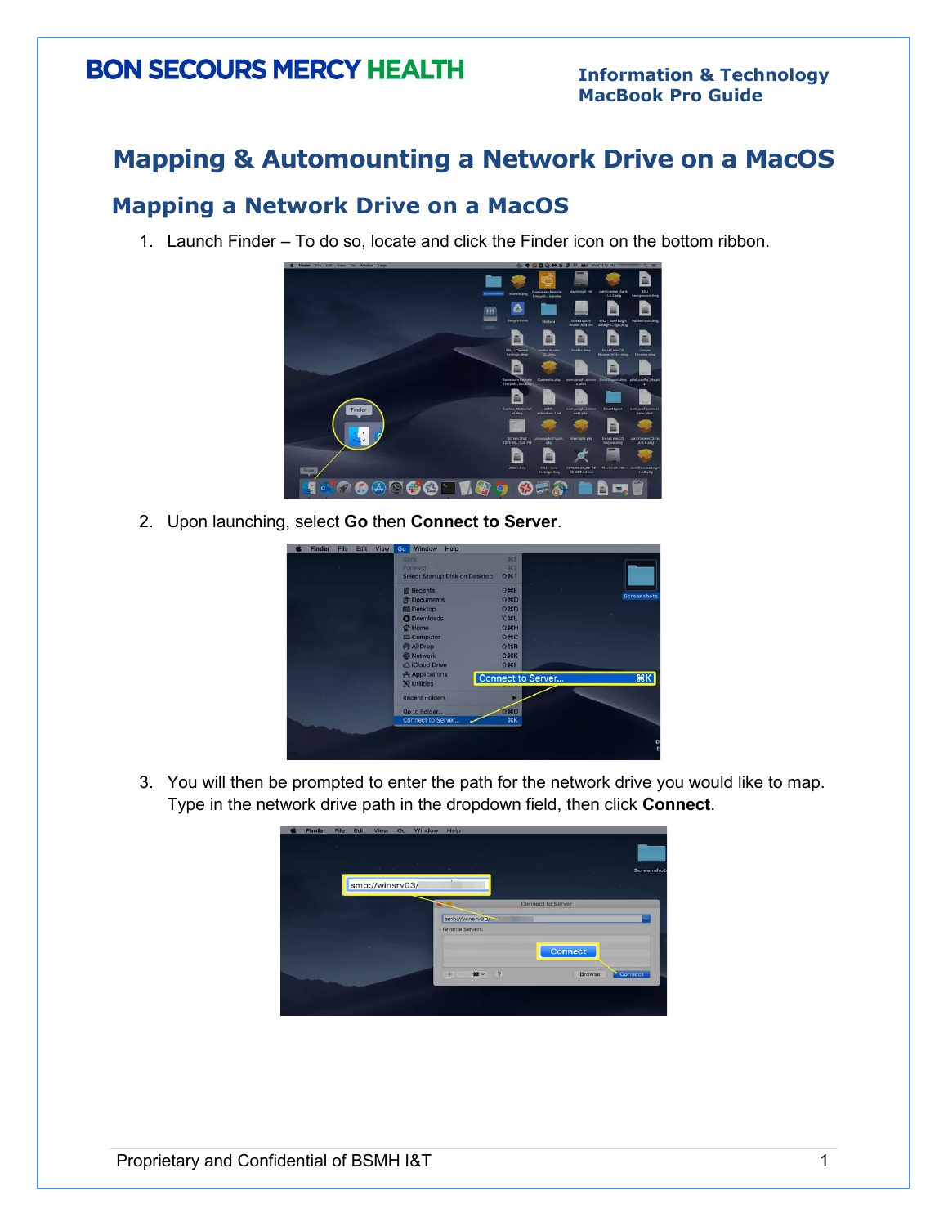### **Mapping & Automounting a Network Drive on a MacOS**

### **Mapping a Network Drive on a MacOS**

1. Launch Finder – To do so, locate and click the Finder icon on the bottom ribbon.



2. Upon launching, select **Go** then **Connect to Server**.

| <b>Finder</b> | File | Edit | View | Go | Window                               | Help |                                       |                          |  |                    |         |
|---------------|------|------|------|----|--------------------------------------|------|---------------------------------------|--------------------------|--|--------------------|---------|
|               |      |      |      |    | <b>Back</b><br>Forward               |      | <b>Select Startup Disk on Desktop</b> | $981$<br>981<br>$0$ $%$  |  |                    |         |
|               |      |      |      |    | <b>Recents</b>                       |      |                                       | <b>企業日</b>               |  |                    |         |
|               |      |      |      |    | <b>Documents</b>                     |      |                                       | $0*0$                    |  | <b>Screenshots</b> |         |
|               |      |      |      |    | <b>La Desktop</b>                    |      |                                       | <b>企業D</b>               |  |                    |         |
|               |      |      |      |    | <b>O</b> Downloads                   |      |                                       | <b>J%L</b>               |  |                    |         |
|               |      |      |      |    | Home                                 |      |                                       | $9$ $%$                  |  |                    |         |
|               |      |      |      |    | Computer                             |      |                                       | $0$ $\pi$ C              |  |                    |         |
|               |      |      |      |    | <b>AirDrop</b>                       |      |                                       | <b>企業R</b>               |  |                    |         |
|               |      |      |      |    | <b>O</b> Network                     |      |                                       | <b>Q</b> %K              |  |                    |         |
|               |      |      |      |    | ciCloud Drive                        |      |                                       | ☆ 第1                     |  |                    |         |
|               |      |      |      |    | A Applications<br><b>X</b> Utilities |      |                                       | <b>Connect to Server</b> |  | R                  |         |
|               |      |      |      |    | <b>Recent Folders</b>                |      |                                       |                          |  |                    |         |
|               |      |      |      |    | Go to Folder                         |      |                                       | $0$ $*$ $G$              |  |                    |         |
|               |      |      |      |    | <b>Connect to Server</b>             |      |                                       | $38K$                    |  |                    |         |
|               |      |      |      |    |                                      |      |                                       |                          |  |                    |         |
|               |      |      |      |    |                                      |      |                                       |                          |  |                    | D<br>E) |
|               |      |      |      |    |                                      |      |                                       |                          |  |                    |         |

3. You will then be prompted to enter the path for the network drive you would like to map. Type in the network drive path in the dropdown field, then click **Connect**.

| $\mathcal{L}$ | ×                                    |                   |                          | Screenshots |
|---------------|--------------------------------------|-------------------|--------------------------|-------------|
|               |                                      |                   | ×                        |             |
|               |                                      | Connect to Server |                          |             |
|               | smb://winsrv03/                      |                   |                          |             |
|               | <b>Favorite Servers:</b>             |                   |                          |             |
|               |                                      |                   |                          |             |
|               | **<br>$\overline{\mathbf{r}}$<br>$+$ |                   | Connect<br><b>Browse</b> |             |
|               | smb://winsrv03/                      | $\sim$            | <b>STATE</b>             | Connect     |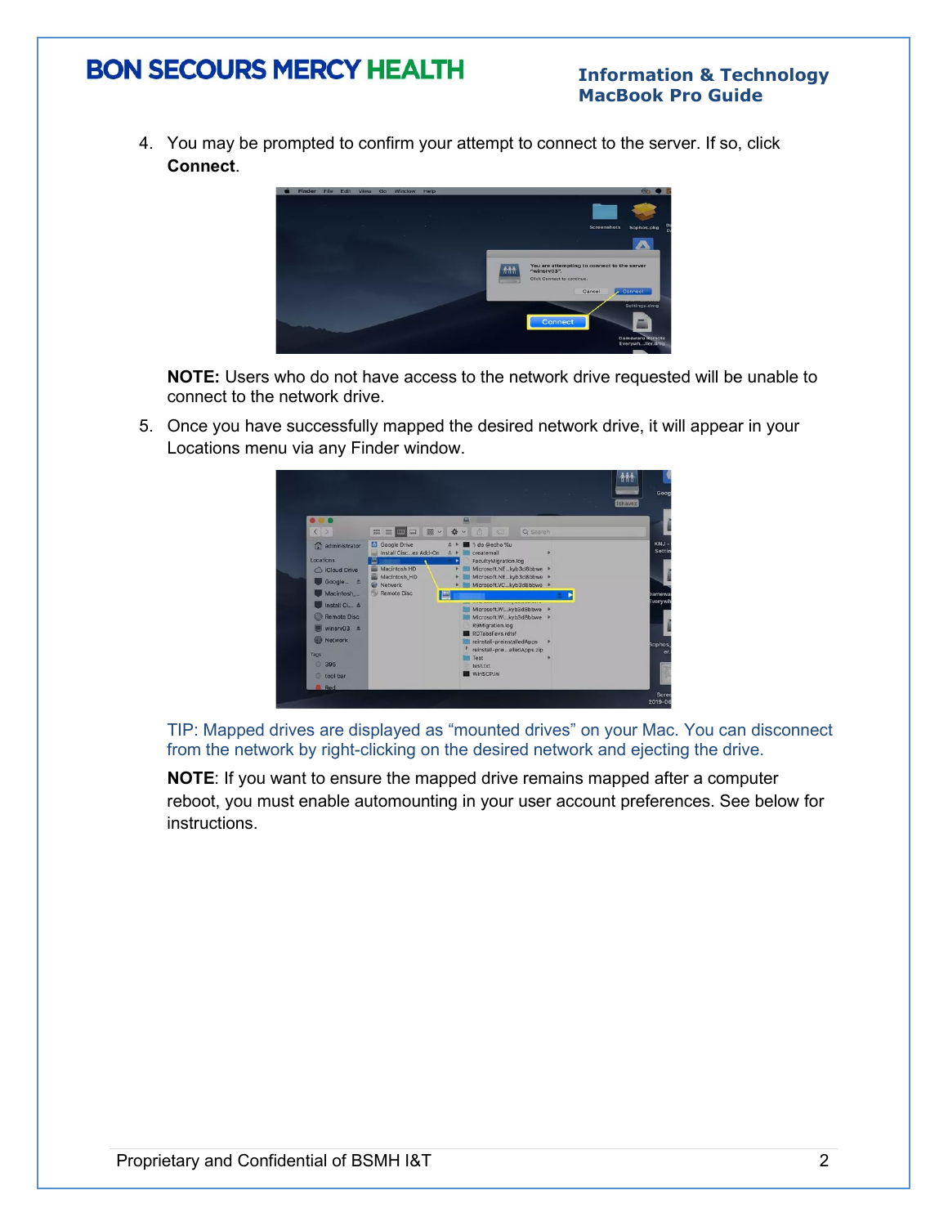#### **Information & Technology MacBook Pro Guide**

4. You may be prompted to confirm your attempt to connect to the server. If so, click **Connect**.



**NOTE:** Users who do not have access to the network drive requested will be unable to connect to the network drive.

5. Once you have successfully mapped the desired network drive, it will appear in your Locations menu via any Finder window.



TIP: Mapped drives are displayed as "mounted drives" on your Mac. You can disconnect from the network by right-clicking on the desired network and ejecting the drive.

**NOTE**: If you want to ensure the mapped drive remains mapped after a computer reboot, you must enable automounting in your user account preferences. See below for instructions.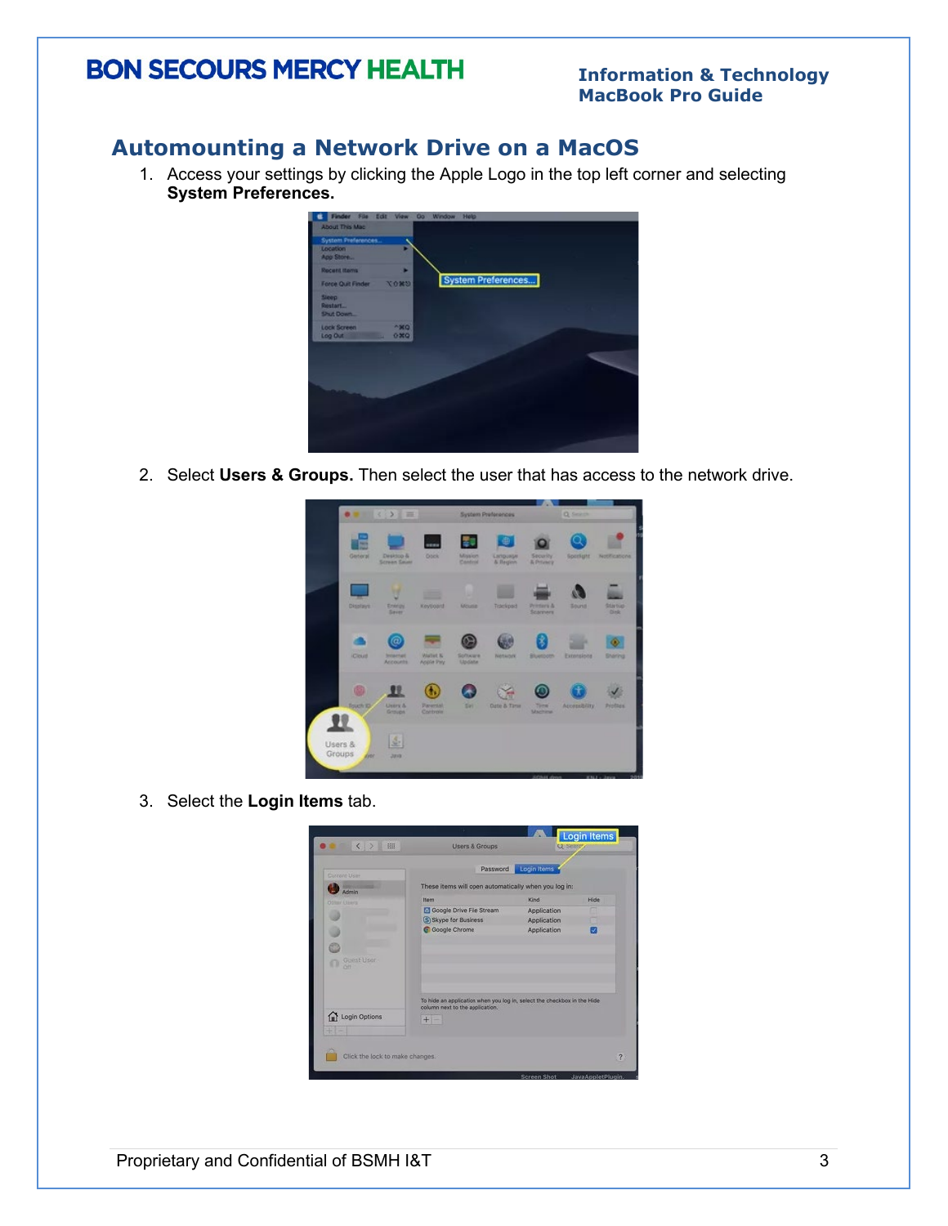#### **Information & Technology MacBook Pro Guide**

### **Automounting a Network Drive on a MacOS**

1. Access your settings by clicking the Apple Logo in the top left corner and selecting **System Preferences.** 



2. Select **Users & Groups.** Then select the user that has access to the network drive.



3. Select the **Login Items** tab.